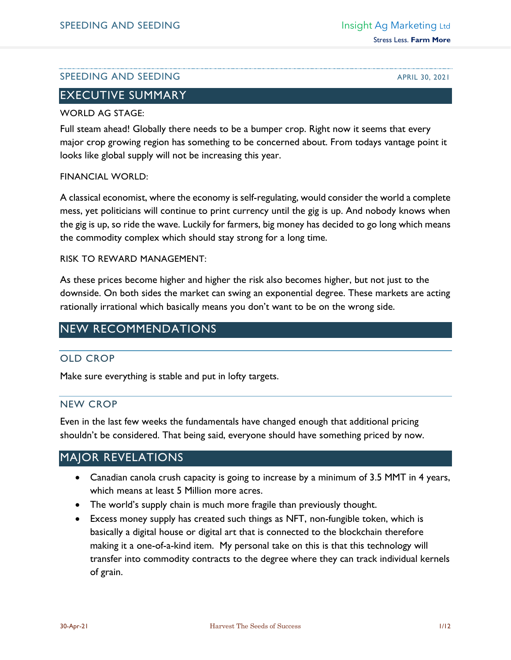## SPEEDING AND SEEDING APRIL 30, 2021

# EXECUTIVE SUMMARY

#### WORLD AG STAGE:

Full steam ahead! Globally there needs to be a bumper crop. Right now it seems that every major crop growing region has something to be concerned about. From todays vantage point it looks like global supply will not be increasing this year.

#### FINANCIAL WORLD:

A classical economist, where the economy is self-regulating, would consider the world a complete mess, yet politicians will continue to print currency until the gig is up. And nobody knows when the gig is up, so ride the wave. Luckily for farmers, big money has decided to go long which means the commodity complex which should stay strong for a long time.

#### RISK TO REWARD MANAGEMENT:

As these prices become higher and higher the risk also becomes higher, but not just to the downside. On both sides the market can swing an exponential degree. These markets are acting rationally irrational which basically means you don't want to be on the wrong side.

# NEW RECOMMENDATIONS

## OLD CROP

Make sure everything is stable and put in lofty targets.

## NEW CROP

Even in the last few weeks the fundamentals have changed enough that additional pricing shouldn't be considered. That being said, everyone should have something priced by now.

# MAJOR REVELATIONS

- Canadian canola crush capacity is going to increase by a minimum of 3.5 MMT in 4 years, which means at least 5 Million more acres.
- The world's supply chain is much more fragile than previously thought.
- Excess money supply has created such things as NFT, non-fungible token, which is basically a digital house or digital art that is connected to the blockchain therefore making it a one-of-a-kind item. My personal take on this is that this technology will transfer into commodity contracts to the degree where they can track individual kernels of grain.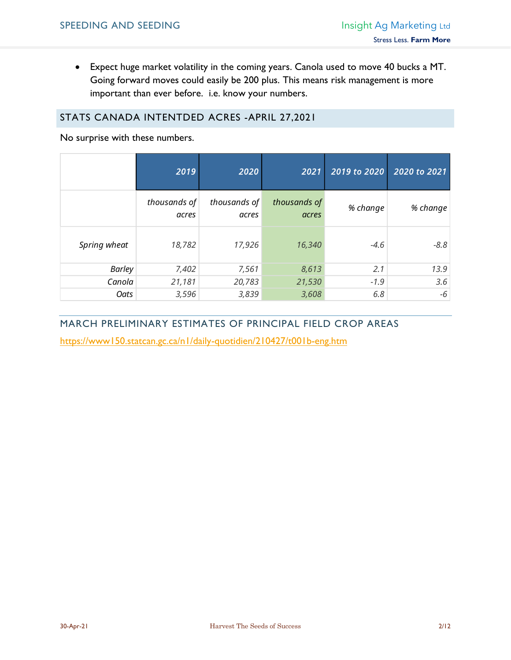• Expect huge market volatility in the coming years. Canola used to move 40 bucks a MT. Going forward moves could easily be 200 plus. This means risk management is more important than ever before. i.e. know your numbers.

## STATS CANADA INTENTDED ACRES -APRIL 27,2021

No surprise with these numbers.

|               | 2019                  | 2020                  | 2021                  | 2019 to 2020 | 2020 to 2021 |
|---------------|-----------------------|-----------------------|-----------------------|--------------|--------------|
|               | thousands of<br>acres | thousands of<br>acres | thousands of<br>acres | % change     | % change     |
| Spring wheat  | 18,782                | 17,926                | 16,340                | $-4.6$       | $-8.8$       |
| <b>Barley</b> | 7,402                 | 7,561                 | 8,613                 | 2.1          | 13.9         |
| Canola        | 21,181                | 20,783                | 21,530                | $-1.9$       | 3.6          |
| Oats          | 3,596                 | 3,839                 | 3,608                 | 6.8          | -6           |

# MARCH PRELIMINARY ESTIMATES OF PRINCIPAL FIELD CROP AREAS

<https://www150.statcan.gc.ca/n1/daily-quotidien/210427/t001b-eng.htm>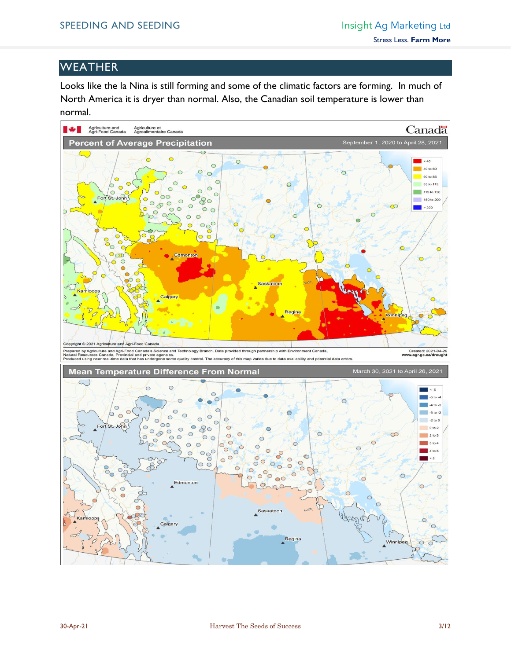# **WEATHER**

Looks like the la Nina is still forming and some of the climatic factors are forming. In much of North America it is dryer than normal. Also, the Canadian soil temperature is lower than normal.

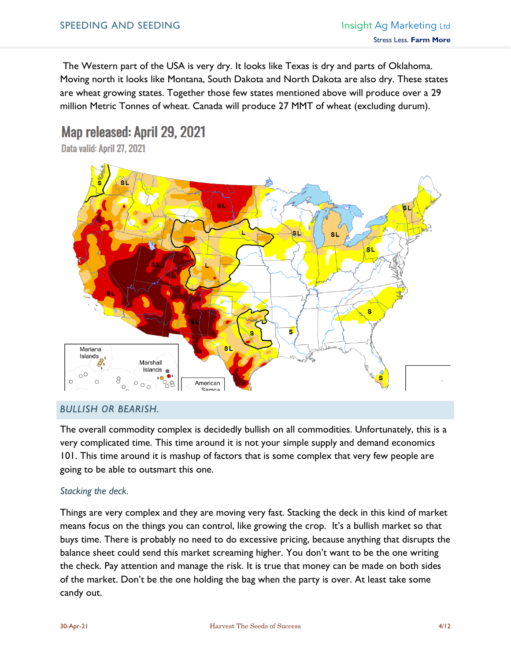The Western part of the USA is very dry. It looks like Texas is dry and parts of Oklahoma. Moving north it looks like Montana, South Dakota and North Dakota are also dry. These states are wheat growing states. Together those few states mentioned above will produce over a 29 million Metric Tonnes of wheat. Canada will produce 27 MMT of wheat (excluding durum).

# Map released: April 29, 2021

Data valid: April 27, 2021



## *BULLISH OR BEARISH.*

The overall commodity complex is decidedly bullish on all commodities. Unfortunately, this is a very complicated time. This time around it is not your simple supply and demand economics 101. This time around it is mashup of factors that is some complex that very few people are going to be able to outsmart this one.

## *Stacking the deck.*

Things are very complex and they are moving very fast. Stacking the deck in this kind of market means focus on the things you can control, like growing the crop. It's a bullish market so that buys time. There is probably no need to do excessive pricing, because anything that disrupts the balance sheet could send this market screaming higher. You don't want to be the one writing the check. Pay attention and manage the risk. It is true that money can be made on both sides of the market. Don't be the one holding the bag when the party is over. At least take some candy out.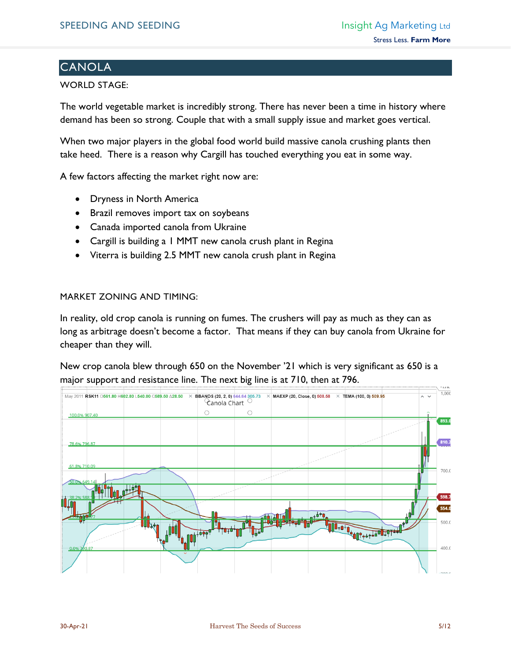# **CANOLA**

#### WORLD STAGE:

The world vegetable market is incredibly strong. There has never been a time in history where demand has been so strong. Couple that with a small supply issue and market goes vertical.

When two major players in the global food world build massive canola crushing plants then take heed. There is a reason why Cargill has touched everything you eat in some way.

A few factors affecting the market right now are:

- Dryness in North America
- Brazil removes import tax on soybeans
- Canada imported canola from Ukraine
- Cargill is building a 1 MMT new canola crush plant in Regina
- Viterra is building 2.5 MMT new canola crush plant in Regina

#### MARKET ZONING AND TIMING:

In reality, old crop canola is running on fumes. The crushers will pay as much as they can as long as arbitrage doesn't become a factor. That means if they can buy canola from Ukraine for cheaper than they will.

New crop canola blew through 650 on the November '21 which is very significant as 650 is a major support and resistance line. The next big line is at 710, then at 796.

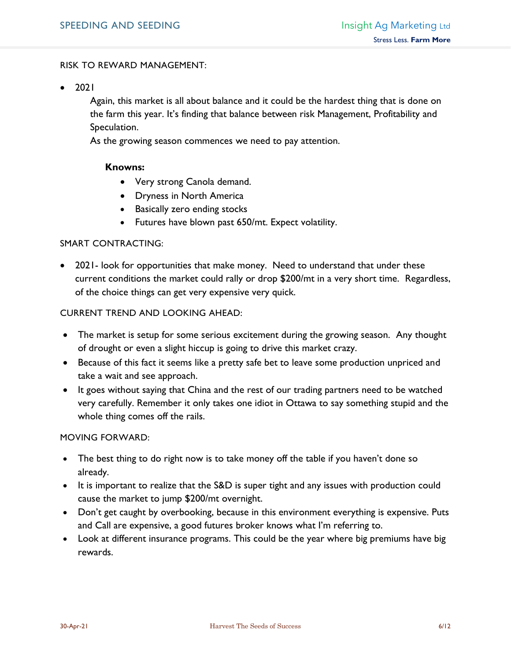#### RISK TO REWARD MANAGEMENT:

• 2021

Again, this market is all about balance and it could be the hardest thing that is done on the farm this year. It's finding that balance between risk Management, Profitability and Speculation.

As the growing season commences we need to pay attention.

#### **Knowns:**

- Very strong Canola demand.
- Dryness in North America
- Basically zero ending stocks
- Futures have blown past 650/mt. Expect volatility.

#### SMART CONTRACTING:

• 2021- look for opportunities that make money. Need to understand that under these current conditions the market could rally or drop \$200/mt in a very short time. Regardless, of the choice things can get very expensive very quick.

#### CURRENT TREND AND LOOKING AHEAD:

- The market is setup for some serious excitement during the growing season. Any thought of drought or even a slight hiccup is going to drive this market crazy.
- Because of this fact it seems like a pretty safe bet to leave some production unpriced and take a wait and see approach.
- It goes without saying that China and the rest of our trading partners need to be watched very carefully. Remember it only takes one idiot in Ottawa to say something stupid and the whole thing comes off the rails.

#### MOVING FORWARD:

- The best thing to do right now is to take money off the table if you haven't done so already.
- It is important to realize that the S&D is super tight and any issues with production could cause the market to jump \$200/mt overnight.
- Don't get caught by overbooking, because in this environment everything is expensive. Puts and Call are expensive, a good futures broker knows what I'm referring to.
- Look at different insurance programs. This could be the year where big premiums have big rewards.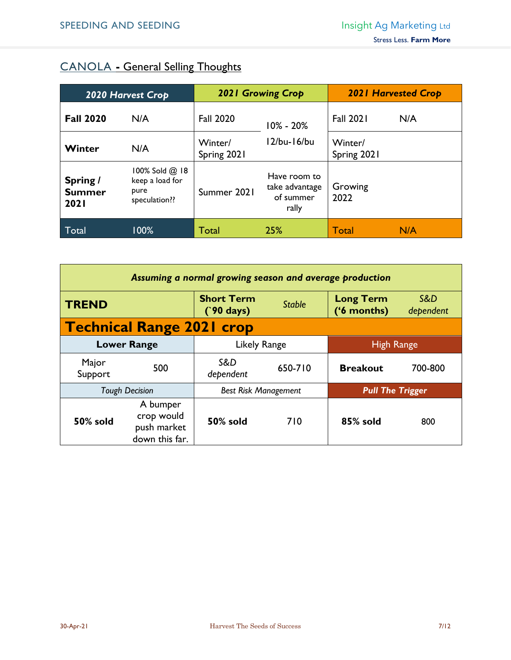# CANOLA **-** General Selling Thoughts

| 2020 Harvest Crop                        |                                                                 | <b>2021 Growing Crop</b> |                                                      | <b>2021 Harvested Crop</b> |     |
|------------------------------------------|-----------------------------------------------------------------|--------------------------|------------------------------------------------------|----------------------------|-----|
| <b>Fall 2020</b>                         | N/A                                                             | <b>Fall 2020</b>         | $10\% - 20\%$<br>12/bu-16/bu                         | <b>Fall 2021</b>           | N/A |
| Winter                                   | N/A                                                             | Winter/<br>Spring 2021   |                                                      | Winter/<br>Spring 2021     |     |
| Spring /<br><b>Summer</b><br><b>2021</b> | $100\%$ Sold $@$ 18<br>keep a load for<br>pure<br>speculation?? | Summer 2021              | Have room to<br>take advantage<br>of summer<br>rally | Growing<br>2022            |     |
| Total                                    | 100%                                                            | Total                    | 25%                                                  | Total                      | N/A |

| Assuming a normal growing season and average production |                                                         |                                          |                                                        |                                 |                  |  |  |
|---------------------------------------------------------|---------------------------------------------------------|------------------------------------------|--------------------------------------------------------|---------------------------------|------------------|--|--|
| <b>TREND</b>                                            |                                                         | <b>Short Term</b><br>$(90 \text{ days})$ | <b>Stable</b>                                          | <b>Long Term</b><br>('6 months) | S&D<br>dependent |  |  |
|                                                         | <b>Technical Range 2021 crop</b>                        |                                          |                                                        |                                 |                  |  |  |
| <b>Lower Range</b>                                      |                                                         | Likely Range                             |                                                        | <b>High Range</b>               |                  |  |  |
| Major<br>Support                                        | 500                                                     | S&D<br>dependent                         | 650-710                                                | <b>Breakout</b>                 | 700-800          |  |  |
| <b>Tough Decision</b>                                   |                                                         |                                          | <b>Best Risk Management</b><br><b>Pull The Trigger</b> |                                 |                  |  |  |
| 50% sold                                                | A bumper<br>crop would<br>push market<br>down this far. | <b>50% sold</b>                          | 710                                                    | 85% sold                        | 800              |  |  |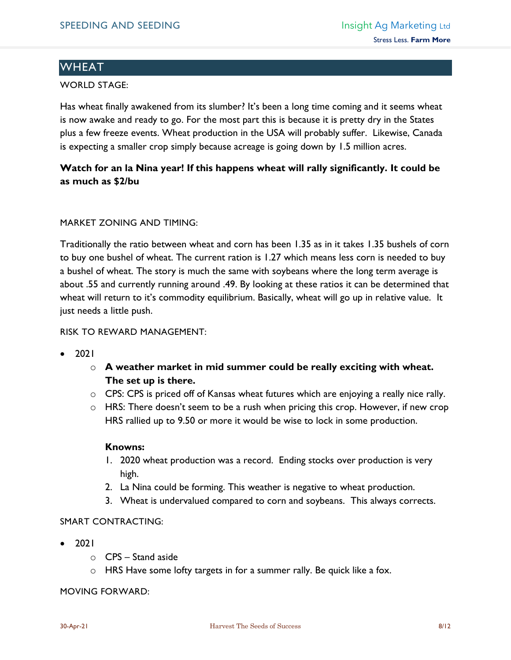# **WHEAT**

#### WORLD STAGE:

Has wheat finally awakened from its slumber? It's been a long time coming and it seems wheat is now awake and ready to go. For the most part this is because it is pretty dry in the States plus a few freeze events. Wheat production in the USA will probably suffer. Likewise, Canada is expecting a smaller crop simply because acreage is going down by 1.5 million acres.

# **Watch for an la Nina year! If this happens wheat will rally significantly. It could be as much as \$2/bu**

#### MARKET ZONING AND TIMING:

Traditionally the ratio between wheat and corn has been 1.35 as in it takes 1.35 bushels of corn to buy one bushel of wheat. The current ration is 1.27 which means less corn is needed to buy a bushel of wheat. The story is much the same with soybeans where the long term average is about .55 and currently running around .49. By looking at these ratios it can be determined that wheat will return to it's commodity equilibrium. Basically, wheat will go up in relative value. It just needs a little push.

#### RISK TO REWARD MANAGEMENT:

- 2021
	- o **A weather market in mid summer could be really exciting with wheat. The set up is there.**
	- o CPS: CPS is priced off of Kansas wheat futures which are enjoying a really nice rally.
	- $\circ$  HRS: There doesn't seem to be a rush when pricing this crop. However, if new crop HRS rallied up to 9.50 or more it would be wise to lock in some production.

#### **Knowns:**

- 1. 2020 wheat production was a record. Ending stocks over production is very high.
- 2. La Nina could be forming. This weather is negative to wheat production.
- 3. Wheat is undervalued compared to corn and soybeans. This always corrects.

#### SMART CONTRACTING:

- 2021
	- o CPS Stand aside
	- $\circ$  HRS Have some lofty targets in for a summer rally. Be quick like a fox.

#### MOVING FORWARD: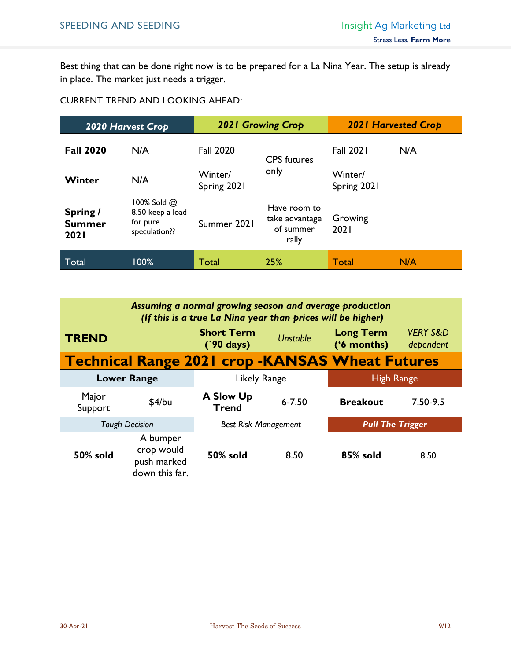Best thing that can be done right now is to be prepared for a La Nina Year. The setup is already in place. The market just needs a trigger.

CURRENT TREND AND LOOKING AHEAD:

| 2020 Harvest Crop                        |                                                                   | <b>2021 Growing Crop</b> |                                                      | <b>2021 Harvested Crop</b> |     |
|------------------------------------------|-------------------------------------------------------------------|--------------------------|------------------------------------------------------|----------------------------|-----|
| <b>Fall 2020</b>                         | N/A                                                               | <b>Fall 2020</b>         | <b>CPS</b> futures<br>only                           | <b>Fall 2021</b>           | N/A |
| Winter                                   | N/A                                                               | Winter/<br>Spring 2021   |                                                      | Winter/<br>Spring 2021     |     |
| Spring /<br><b>Summer</b><br><b>2021</b> | $100\%$ Sold $@$<br>8.50 keep a load<br>for pure<br>speculation?? | Summer 2021              | Have room to<br>take advantage<br>of summer<br>rally | Growing<br>2021            |     |
| Total                                    | 100%                                                              | Total                    | 25%                                                  | <b>Total</b>               | N/A |

| Assuming a normal growing season and average production<br>(If this is a true La Nina year than prices will be higher) |                                                         |                                          |                 |                                 |                                  |  |  |
|------------------------------------------------------------------------------------------------------------------------|---------------------------------------------------------|------------------------------------------|-----------------|---------------------------------|----------------------------------|--|--|
| <b>TREND</b>                                                                                                           |                                                         | <b>Short Term</b><br>$(90 \text{ days})$ | <b>Unstable</b> | <b>Long Term</b><br>('6 months) | <b>VERY S&amp;D</b><br>dependent |  |  |
|                                                                                                                        | <b>Technical Range 2021 crop -KANSAS Wheat Futures</b>  |                                          |                 |                                 |                                  |  |  |
| <b>Lower Range</b>                                                                                                     |                                                         | Likely Range                             |                 | <b>High Range</b>               |                                  |  |  |
| Major<br>Support                                                                                                       | \$4/bu                                                  | <b>A Slow Up</b><br><b>Trend</b>         | $6 - 7.50$      | <b>Breakout</b>                 | $7.50 - 9.5$                     |  |  |
| <b>Tough Decision</b>                                                                                                  |                                                         | <b>Best Risk Management</b>              |                 | <b>Pull The Trigger</b>         |                                  |  |  |
| 50% sold                                                                                                               | A bumper<br>crop would<br>push marked<br>down this far. | 50% sold                                 | 8.50            | 85% sold                        | 8.50                             |  |  |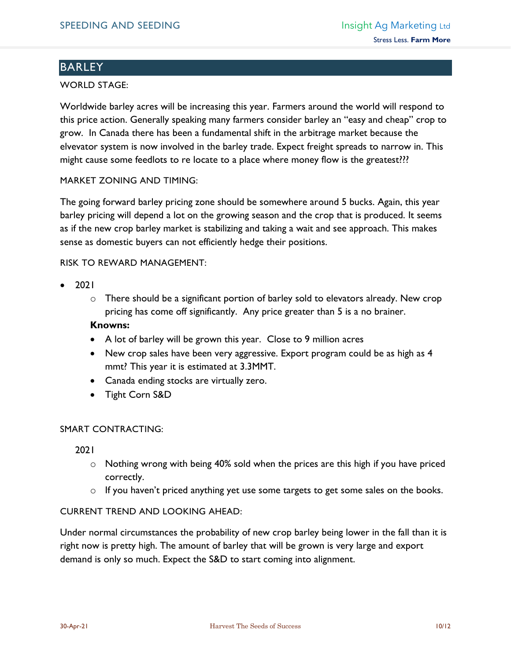# BARLEY

#### WORLD STAGE:

Worldwide barley acres will be increasing this year. Farmers around the world will respond to this price action. Generally speaking many farmers consider barley an "easy and cheap" crop to grow. In Canada there has been a fundamental shift in the arbitrage market because the elvevator system is now involved in the barley trade. Expect freight spreads to narrow in. This might cause some feedlots to re locate to a place where money flow is the greatest???

#### MARKET ZONING AND TIMING:

The going forward barley pricing zone should be somewhere around 5 bucks. Again, this year barley pricing will depend a lot on the growing season and the crop that is produced. It seems as if the new crop barley market is stabilizing and taking a wait and see approach. This makes sense as domestic buyers can not efficiently hedge their positions.

#### RISK TO REWARD MANAGEMENT:

- 2021
	- o There should be a significant portion of barley sold to elevators already. New crop pricing has come off significantly. Any price greater than 5 is a no brainer.

#### **Knowns:**

- A lot of barley will be grown this year. Close to 9 million acres
- New crop sales have been very aggressive. Export program could be as high as 4 mmt? This year it is estimated at 3.3MMT.
- Canada ending stocks are virtually zero.
- Tight Corn S&D

## SMART CONTRACTING:

2021

- $\circ$  Nothing wrong with being 40% sold when the prices are this high if you have priced correctly.
- o If you haven't priced anything yet use some targets to get some sales on the books.

#### CURRENT TREND AND LOOKING AHEAD:

Under normal circumstances the probability of new crop barley being lower in the fall than it is right now is pretty high. The amount of barley that will be grown is very large and export demand is only so much. Expect the S&D to start coming into alignment.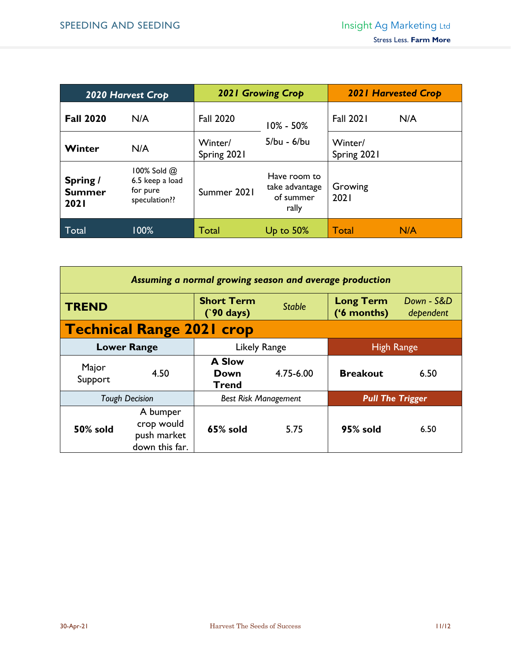| 2020 Harvest Crop                        |                                                                  | <b>2021 Growing Crop</b> |                                                      | <b>2021 Harvested Crop</b> |     |
|------------------------------------------|------------------------------------------------------------------|--------------------------|------------------------------------------------------|----------------------------|-----|
| <b>Fall 2020</b>                         | N/A                                                              | <b>Fall 2020</b>         | $10\% - 50\%$<br>5/bu - 6/bu                         | <b>Fall 2021</b>           | N/A |
| Winter                                   | N/A                                                              | Winter/<br>Spring 2021   |                                                      | Winter/<br>Spring 2021     |     |
| Spring /<br><b>Summer</b><br><b>2021</b> | $100\%$ Sold $@$<br>6.5 keep a load<br>for pure<br>speculation?? | Summer 2021              | Have room to<br>take advantage<br>of summer<br>rally | Growing<br>2021            |     |
| Total                                    | 100%                                                             | Total                    | Up to $50\%$                                         | <b>Total</b>               | N/A |

| Assuming a normal growing season and average production |                                                         |                                              |               |                                 |                         |  |
|---------------------------------------------------------|---------------------------------------------------------|----------------------------------------------|---------------|---------------------------------|-------------------------|--|
| <b>TREND</b>                                            |                                                         | <b>Short Term</b><br>$(90 \text{ days})$     | <b>Stable</b> | <b>Long Term</b><br>('6 months) | Down - S&D<br>dependent |  |
|                                                         | <b>Technical Range 2021 crop</b>                        |                                              |               |                                 |                         |  |
| <b>Lower Range</b>                                      |                                                         | Likely Range                                 |               | <b>High Range</b>               |                         |  |
| Major<br>Support                                        | 4.50                                                    | <b>A Slow</b><br><b>Down</b><br><b>Trend</b> | 4.75-6.00     | <b>Breakout</b>                 | 6.50                    |  |
| <b>Tough Decision</b>                                   |                                                         | <b>Best Risk Management</b>                  |               | <b>Pull The Trigger</b>         |                         |  |
| 50% sold                                                | A bumper<br>crop would<br>push market<br>down this far. | 65% sold                                     | 5.75          | 95% sold                        | 6.50                    |  |